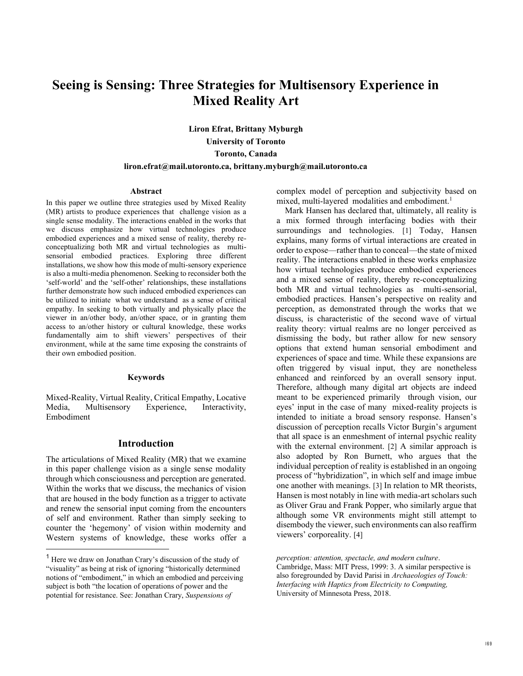# **Seeing is Sensing: Three Strategies for Multisensory Experience in Mixed Reality Art**

**Liron Efrat, Brittany Myburgh University of Toronto Toronto, Canada liron.efrat@mail.utoronto.ca, brittany.myburgh@mail.utoronto.ca** 

#### **Abstract**

In this paper we outline three strategies used by Mixed Reality (MR) artists to produce experiences that challenge vision as a single sense modality. The interactions enabled in the works that we discuss emphasize how virtual technologies produce embodied experiences and a mixed sense of reality, thereby reconceptualizing both MR and virtual technologies as multisensorial embodied practices. Exploring three different installations, we show how this mode of multi-sensory experience is also a multi-media phenomenon. Seeking to reconsider both the 'self-world' and the 'self-other' relationships, these installations further demonstrate how such induced embodied experiences can be utilized to initiate what we understand as a sense of critical empathy. In seeking to both virtually and physically place the viewer in an/other body, an/other space, or in granting them access to an/other history or cultural knowledge, these works fundamentally aim to shift viewers' perspectives of their environment, while at the same time exposing the constraints of their own embodied position.

#### **Keywords**

Mixed-Reality, Virtual Reality, Critical Empathy, Locative Media, Multisensory Experience, Interactivity, Embodiment

## **Introduction**

The articulations of Mixed Reality (MR) that we examine in this paper challenge vision as a single sense modality through which consciousness and perception are generated. Within the works that we discuss, the mechanics of vision that are housed in the body function as a trigger to activate and renew the sensorial input coming from the encounters of self and environment. Rather than simply seeking to counter the 'hegemony' of vision within modernity and Western systems of knowledge, these works offer a

complex model of perception and subjectivity based on mixed, multi-layered modalities and embodiment.<sup>1</sup>

Mark Hansen has declared that, ultimately, all reality is a mix formed through interfacing bodies with their surroundings and technologies. [1] Today, Hansen explains, many forms of virtual interactions are created in order to expose—rather than to conceal—the state of mixed reality. The interactions enabled in these works emphasize how virtual technologies produce embodied experiences and a mixed sense of reality, thereby re-conceptualizing both MR and virtual technologies as multi-sensorial, embodied practices. Hansen's perspective on reality and perception, as demonstrated through the works that we discuss, is characteristic of the second wave of virtual reality theory: virtual realms are no longer perceived as dismissing the body, but rather allow for new sensory options that extend human sensorial embodiment and experiences of space and time. While these expansions are often triggered by visual input, they are nonetheless enhanced and reinforced by an overall sensory input. Therefore, although many digital art objects are indeed meant to be experienced primarily through vision, our eyes' input in the case of many mixed-reality projects is intended to initiate a broad sensory response. Hansen's discussion of perception recalls Victor Burgin's argument that all space is an enmeshment of internal psychic reality with the external environment. [2] A similar approach is also adopted by Ron Burnett, who argues that the individual perception of reality is established in an ongoing process of "hybridization", in which self and image imbue one another with meanings. [3] In relation to MR theorists, Hansen is most notably in line with media-art scholars such as Oliver Grau and Frank Popper, who similarly argue that although some VR environments might still attempt to disembody the viewer, such environments can also reaffirm viewers' corporeality. [4]

<sup>1</sup> Here we draw on Jonathan Crary's discussion of the study of "visuality" as being at risk of ignoring "historically determined notions of "embodiment," in which an embodied and perceiving subject is both "the location of operations of power and the potential for resistance. See: Jonathan Crary, *Suspensions of* 

*perception: attention, spectacle, and modern culture*.

Cambridge, Mass: MIT Press, 1999: 3. A similar perspective is also foregrounded by David Parisi in *Archaeologies of Touch: Interfacing with Haptics from Electricity to Computing,*  University of Minnesota Press, 2018.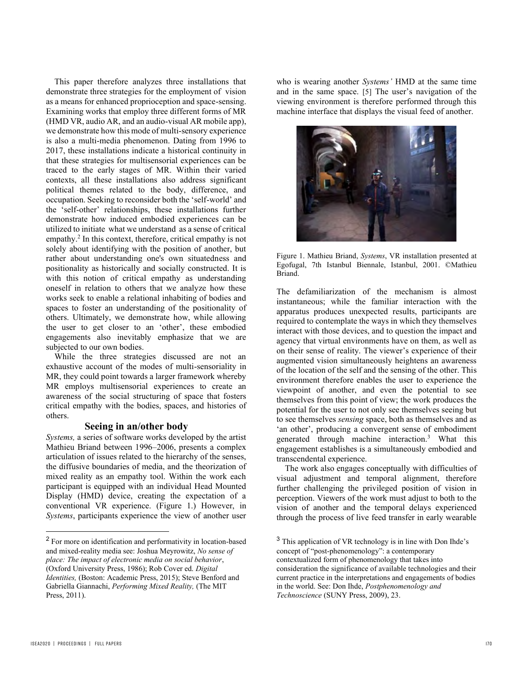This paper therefore analyzes three installations that demonstrate three strategies for the employment of vision as a means for enhanced proprioception and space-sensing. Examining works that employ three different forms of MR (HMD VR, audio AR, and an audio-visual AR mobile app), we demonstrate how this mode of multi-sensory experience is also a multi-media phenomenon. Dating from 1996 to 2017, these installations indicate a historical continuity in that these strategies for multisensorial experiences can be traced to the early stages of MR. Within their varied contexts, all these installations also address significant political themes related to the body, difference, and occupation. Seeking to reconsider both the 'self-world' and the 'self-other' relationships, these installations further demonstrate how induced embodied experiences can be utilized to initiate what we understand as a sense of critical empathy.<sup>2</sup> In this context, therefore, critical empathy is not solely about identifying with the position of another, but rather about understanding one's own situatedness and positionality as historically and socially constructed. It is with this notion of critical empathy as understanding oneself in relation to others that we analyze how these works seek to enable a relational inhabiting of bodies and spaces to foster an understanding of the positionality of others. Ultimately, we demonstrate how, while allowing the user to get closer to an 'other', these embodied engagements also inevitably emphasize that we are subjected to our own bodies.

While the three strategies discussed are not an exhaustive account of the modes of multi-sensoriality in MR, they could point towards a larger framework whereby MR employs multisensorial experiences to create an awareness of the social structuring of space that fosters critical empathy with the bodies, spaces, and histories of others.

## **Seeing in an/other body**

*Systems,* a series of software works developed by the artist Mathieu Briand between 1996–2006, presents a complex articulation of issues related to the hierarchy of the senses, the diffusive boundaries of media, and the theorization of mixed reality as an empathy tool. Within the work each participant is equipped with an individual Head Mounted Display (HMD) device, creating the expectation of a conventional VR experience. (Figure 1.) However, in *Systems*, participants experience the view of another user

who is wearing another *Systems'* HMD at the same time and in the same space. [5] The user's navigation of the viewing environment is therefore performed through this machine interface that displays the visual feed of another.



Figure 1. Mathieu Briand, *Systems*, VR installation presented at Egofugal, 7th Istanbul Biennale, Istanbul, 2001. ©Mathieu Briand.

The defamiliarization of the mechanism is almost instantaneous; while the familiar interaction with the apparatus produces unexpected results, participants are required to contemplate the ways in which they themselves interact with those devices, and to question the impact and agency that virtual environments have on them, as well as on their sense of reality. The viewer's experience of their augmented vision simultaneously heightens an awareness of the location of the self and the sensing of the other. This environment therefore enables the user to experience the viewpoint of another, and even the potential to see themselves from this point of view; the work produces the potential for the user to not only see themselves seeing but to see themselves *sensing* space, both as themselves and as 'an other', producing a convergent sense of embodiment generated through machine interaction.3 What this engagement establishes is a simultaneously embodied and transcendental experience.

The work also engages conceptually with difficulties of visual adjustment and temporal alignment, therefore further challenging the privileged position of vision in perception. Viewers of the work must adjust to both to the vision of another and the temporal delays experienced through the process of live feed transfer in early wearable

<sup>&</sup>lt;sup>2</sup> For more on identification and performativity in location-based and mixed-reality media see: Joshua Meyrowitz, *No sense of place: The impact of electronic media on social behavior*, (Oxford University Press, 1986); Rob Cover ed. *Digital Identities, (Boston: Academic Press, 2015); Steve Benford and* Gabriella Giannachi, *Performing Mixed Reality,* (The MIT Press, 2011).

<sup>&</sup>lt;sup>3</sup> This application of VR technology is in line with Don Ihde's concept of "post-phenomenology": a contemporary

contextualized form of phenomenology that takes into consideration the significance of available technologies and their current practice in the interpretations and engagements of bodies in the world. See: Don Ihde, *Postphenomenology and Technoscience* (SUNY Press, 2009), 23.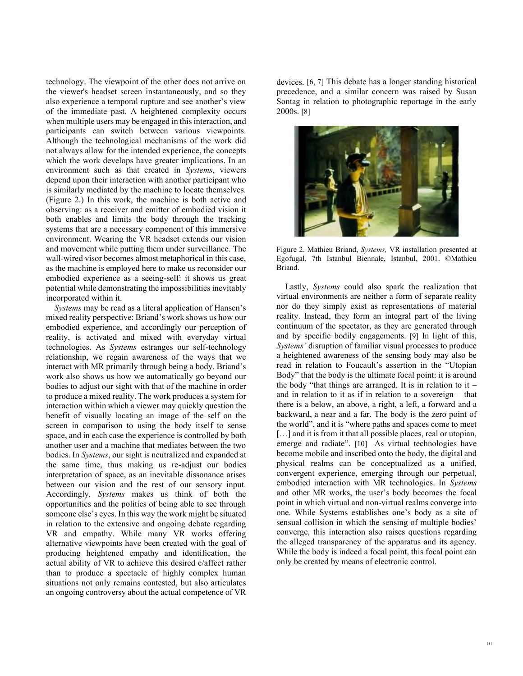technology. The viewpoint of the other does not arrive on the viewer's headset screen instantaneously, and so they also experience a temporal rupture and see another's view of the immediate past. A heightened complexity occurs when multiple users may be engaged in this interaction, and participants can switch between various viewpoints. Although the technological mechanisms of the work did not always allow for the intended experience, the concepts which the work develops have greater implications. In an environment such as that created in *Systems*, viewers depend upon their interaction with another participant who is similarly mediated by the machine to locate themselves. (Figure 2.) In this work, the machine is both active and observing: as a receiver and emitter of embodied vision it both enables and limits the body through the tracking systems that are a necessary component of this immersive environment. Wearing the VR headset extends our vision and movement while putting them under surveillance. The wall-wired visor becomes almost metaphorical in this case, as the machine is employed here to make us reconsider our embodied experience as a seeing-self: it shows us great potential while demonstrating the impossibilities inevitably incorporated within it.

*Systems* may be read as a literal application of Hansen's mixed reality perspective: Briand's work shows us how our embodied experience, and accordingly our perception of reality, is activated and mixed with everyday virtual technologies. As *Systems* estranges our self-technology relationship, we regain awareness of the ways that we interact with MR primarily through being a body. Briand's work also shows us how we automatically go beyond our bodies to adjust our sight with that of the machine in order to produce a mixed reality. The work produces a system for interaction within which a viewer may quickly question the benefit of visually locating an image of the self on the screen in comparison to using the body itself to sense space, and in each case the experience is controlled by both another user and a machine that mediates between the two bodies. In *Systems*, our sight is neutralized and expanded at the same time, thus making us re-adjust our bodies interpretation of space, as an inevitable dissonance arises between our vision and the rest of our sensory input. Accordingly, *Systems* makes us think of both the opportunities and the politics of being able to see through someone else's eyes. In this way the work might be situated in relation to the extensive and ongoing debate regarding VR and empathy. While many VR works offering alternative viewpoints have been created with the goal of producing heightened empathy and identification, the actual ability of VR to achieve this desired e/affect rather than to produce a spectacle of highly complex human situations not only remains contested, but also articulates an ongoing controversy about the actual competence of VR

devices. [6, 7] This debate has a longer standing historical precedence, and a similar concern was raised by Susan Sontag in relation to photographic reportage in the early 2000s. [8]



Figure 2. Mathieu Briand, *Systems,* VR installation presented at Egofugal, 7th Istanbul Biennale, Istanbul, 2001. ©Mathieu Briand.

 Lastly, *Systems* could also spark the realization that virtual environments are neither a form of separate reality nor do they simply exist as representations of material reality. Instead, they form an integral part of the living continuum of the spectator, as they are generated through and by specific bodily engagements. [9] In light of this, *Systems'* disruption of familiar visual processes to produce a heightened awareness of the sensing body may also be read in relation to Foucault's assertion in the "Utopian Body" that the body is the ultimate focal point: it is around the body "that things are arranged. It is in relation to it  $$ and in relation to it as if in relation to a sovereign – that there is a below, an above, a right, a left, a forward and a backward, a near and a far. The body is the zero point of the world", and it is "where paths and spaces come to meet [...] and it is from it that all possible places, real or utopian, emerge and radiate". [10] As virtual technologies have become mobile and inscribed onto the body, the digital and physical realms can be conceptualized as a unified, convergent experience, emerging through our perpetual, embodied interaction with MR technologies. In *Systems*  and other MR works, the user's body becomes the focal point in which virtual and non-virtual realms converge into one. While Systems establishes one's body as a site of sensual collision in which the sensing of multiple bodies' converge, this interaction also raises questions regarding the alleged transparency of the apparatus and its agency. While the body is indeed a focal point, this focal point can only be created by means of electronic control.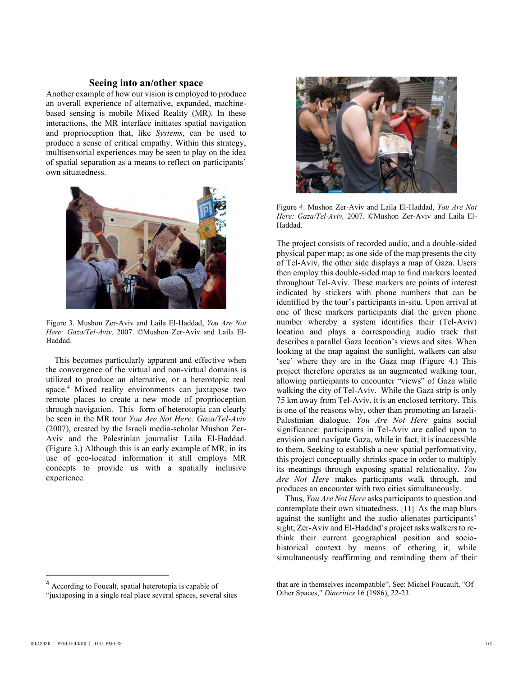## **Seeing into an/other space**

Another example of how our vision is employed to produce an overall experience of alternative, expanded, machinebased sensing is mobile Mixed Reality (MR). In these interactions, the MR interface initiates spatial navigation and proprioception that, like *Systems*, can be used to produce a sense of critical empathy. Within this strategy, multisensorial experiences may be seen to play on the idea of spatial separation as a means to reflect on participants' own situatedness.



Figure 3. Mushon Zer-Aviv and Laila El-Haddad, *You Are Not Here: Gaza/Tel-Aviv,* 2007. ©Mushon Zer-Aviv and Laila El-Haddad.

This becomes particularly apparent and effective when the convergence of the virtual and non-virtual domains is utilized to produce an alternative, or a heterotopic real space.<sup>4</sup> Mixed reality environments can juxtapose two remote places to create a new mode of proprioception through navigation. This form of heterotopia can clearly be seen in the MR tour *You Are Not Here: Gaza/Tel-Aviv* (2007), created by the Israeli media-scholar Mushon Zer-Aviv and the Palestinian journalist Laila El-Haddad. (Figure 3.) Although this is an early example of MR, in its use of geo-located information it still employs MR concepts to provide us with a spatially inclusive experience.



Figure 4. Mushon Zer-Aviv and Laila El-Haddad, *You Are Not Here: Gaza/Tel-Aviv,* 2007. ©Mushon Zer-Aviv and Laila El-Haddad.

The project consists of recorded audio, and a double-sided physical paper map; as one side of the map presents the city of Tel-Aviv, the other side displays a map of Gaza. Users then employ this double-sided map to find markers located throughout Tel-Aviv. These markers are points of interest indicated by stickers with phone numbers that can be identified by the tour's participants in-situ. Upon arrival at one of these markers participants dial the given phone number whereby a system identifies their (Tel-Aviv) location and plays a corresponding audio track that describes a parallel Gaza location's views and sites. When looking at the map against the sunlight, walkers can also 'see' where they are in the Gaza map (Figure 4.) This project therefore operates as an augmented walking tour, allowing participants to encounter "views" of Gaza while walking the city of Tel-Aviv. While the Gaza strip is only 75 km away from Tel-Aviv, it is an enclosed territory. This is one of the reasons why, other than promoting an Israeli-Palestinian dialogue, *You Are Not Here* gains social significance: participants in Tel-Aviv are called upon to envision and navigate Gaza, while in fact, it is inaccessible to them. Seeking to establish a new spatial performativity, this project conceptually shrinks space in order to multiply its meanings through exposing spatial relationality. *You Are Not Here* makes participants walk through, and produces an encounter with two cities simultaneously.

Thus, *You Are Not Here* asks participants to question and contemplate their own situatedness. [11] As the map blurs against the sunlight and the audio alienates participants' sight, Zer-Aviv and El-Haddad's project asks walkers to rethink their current geographical position and sociohistorical context by means of othering it, while simultaneously reaffirming and reminding them of their

<sup>4</sup> According to Foucalt, spatial heterotopia is capable of

<sup>&</sup>quot;juxtaposing in a single real place several spaces, several sites

that are in themselves incompatible". See: Michel Foucault, "Of Other Spaces," *Diacritics* 16 (1986), 22-23.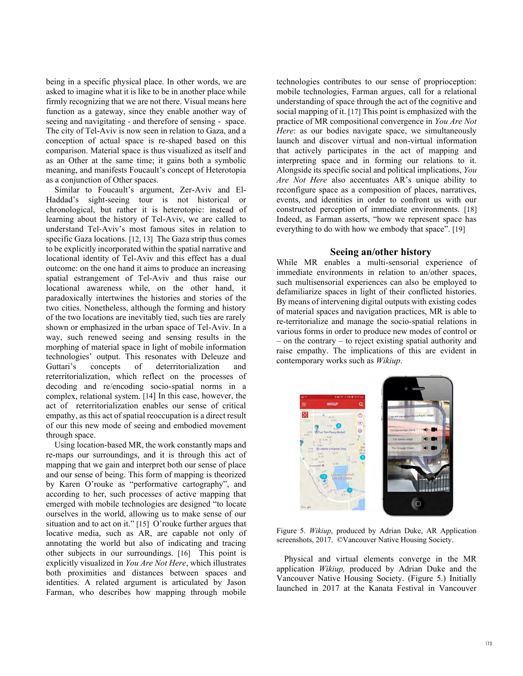being in a specific physical place. In other words, we are asked to imagine what it is like to be in another place while firmly recognizing that we are not there. Visual means here function as a gateway, since they enable another way of seeing and navigitating - and therefore of sensing - space. The city of Tel-Aviv is now seen in relation to Gaza, and a conception of actual space is re-shaped based on this comparison. Material space is thus visualized as itself and as an Other at the same time; it gains both a symbolic meaning, and manifests Foucault's concept of Heterotopia as a conjunction of Other spaces.

Similar to Foucault's argument, Zer-Aviv and El-Haddad's sight-seeing tour is not historical or chronological, but rather it is heterotopic: instead of learning about the history of Tel-Aviv, we are called to understand Tel-Aviv's most famous sites in relation to specific Gaza locations. [12, 13] The Gaza strip thus comes to be explicitly incorporated within the spatial narrative and locational identity of Tel-Aviv and this effect has a dual outcome: on the one hand it aims to produce an increasing spatial estrangement of Tel-Aviv and thus raise our locational awareness while, on the other hand, it paradoxically intertwines the histories and stories of the two cities. Nonetheless, although the forming and history of the two locations are inevitably tied, such ties are rarely shown or emphasized in the urban space of Tel-Aviv. In a way, such renewed seeing and sensing results in the morphing of material space in light of mobile information technologies' output. This resonates with Deleuze and Guttari's concepts of deterritorialization and reterritorialization, which reflect on the processes of decoding and re/encoding socio-spatial norms in a complex, relational system. [14] In this case, however, the act of reterritorialization enables our sense of critical empathy, as this act of spatial reoccupation is a direct result of our this new mode of seeing and embodied movement through space.

 Using location-based MR, the work constantly maps and re-maps our surroundings, and it is through this act of mapping that we gain and interpret both our sense of place and our sense of being. This form of mapping is theorized by Karen O'rouke as "performative cartography", and according to her, such processes of active mapping that emerged with mobile technologies are designed "to locate ourselves in the world, allowing us to make sense of our situation and to act on it." [15] O'rouke further argues that locative media, such as AR, are capable not only of annotating the world but also of indicating and tracing other subjects in our surroundings. [16] This point is explicitly visualized in *You Are Not Here*, which illustrates both proximities and distances between spaces and identities. A related argument is articulated by Jason Farman, who describes how mapping through mobile

technologies contributes to our sense of proprioception: mobile technologies, Farman argues, call for a relational understanding of space through the act of the cognitive and social mapping of it. [17] This point is emphasized with the practice of MR compositional convergence in *You Are Not Here*: as our bodies navigate space, we simultaneously launch and discover virtual and non-virtual information that actively participates in the act of mapping and interpreting space and in forming our relations to it. Alongside its specific social and political implications, *You Are Not Here* also accentuates AR's unique ability to reconfigure space as a composition of places, narratives, events, and identities in order to confront us with our constructed perception of immediate environments. [18] Indeed, as Farman asserts, "how we represent space has everything to do with how we embody that space". [19]

#### **Seeing an/other history**

While MR enables a multi-sensorial experience of immediate environments in relation to an/other spaces, such multisensorial experiences can also be employed to defamiliarize spaces in light of their conflicted histories. By means of intervening digital outputs with existing codes of material spaces and navigation practices, MR is able to re-territorialize and manage the socio-spatial relations in various forms in order to produce new modes of control or – on the contrary – to reject existing spatial authority and raise empathy. The implications of this are evident in contemporary works such as *Wikiup*.



Figure 5. *Wikiup*, produced by Adrian Duke, AR Application screenshots, 2017. ©Vancouver Native Housing Society.

Physical and virtual elements converge in the MR application *Wikiup,* produced by Adrian Duke and the Vancouver Native Housing Society. (Figure 5.) Initially launched in 2017 at the Kanata Festival in Vancouver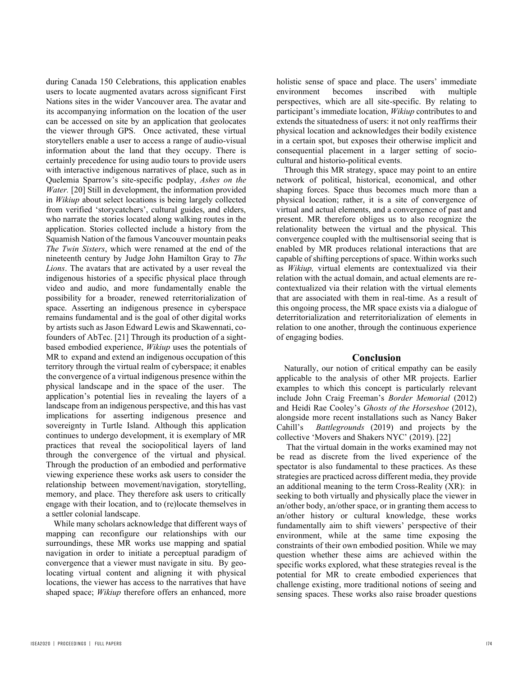during Canada 150 Celebrations, this application enables users to locate augmented avatars across significant First Nations sites in the wider Vancouver area. The avatar and its accompanying information on the location of the user can be accessed on site by an application that geolocates the viewer through GPS. Once activated, these virtual storytellers enable a user to access a range of audio-visual information about the land that they occupy. There is certainly precedence for using audio tours to provide users with interactive indigenous narratives of place, such as in Quelemia Sparrow's site-specific podplay, *Ashes on the Water.* [20] Still in development, the information provided in *Wikiup* about select locations is being largely collected from verified 'storycatchers', cultural guides, and elders, who narrate the stories located along walking routes in the application. Stories collected include a history from the Squamish Nation of the famous Vancouver mountain peaks *The Twin Sisters*, which were renamed at the end of the nineteenth century by Judge John Hamilton Gray to *The Lions*. The avatars that are activated by a user reveal the indigenous histories of a specific physical place through video and audio, and more fundamentally enable the possibility for a broader, renewed reterritorialization of space. Asserting an indigenous presence in cyberspace remains fundamental and is the goal of other digital works by artists such as Jason Edward Lewis and Skawennati, cofounders of AbTec. [21] Through its production of a sightbased embodied experience, *Wikiup* uses the potentials of MR to expand and extend an indigenous occupation of this territory through the virtual realm of cyberspace; it enables the convergence of a virtual indigenous presence within the physical landscape and in the space of the user. The application's potential lies in revealing the layers of a landscape from an indigenous perspective, and this has vast implications for asserting indigenous presence and sovereignty in Turtle Island. Although this application continues to undergo development, it is exemplary of MR practices that reveal the sociopolitical layers of land through the convergence of the virtual and physical. Through the production of an embodied and performative viewing experience these works ask users to consider the relationship between movement/navigation, storytelling, memory, and place. They therefore ask users to critically engage with their location, and to (re)locate themselves in a settler colonial landscape.

While many scholars acknowledge that different ways of mapping can reconfigure our relationships with our surroundings, these MR works use mapping and spatial navigation in order to initiate a perceptual paradigm of convergence that a viewer must navigate in situ. By geolocating virtual content and aligning it with physical locations, the viewer has access to the narratives that have shaped space; *Wikiup* therefore offers an enhanced, more

holistic sense of space and place. The users' immediate environment becomes inscribed with multiple perspectives, which are all site-specific. By relating to participant's immediate location, *Wikiup* contributes to and extends the situatedness of users: it not only reaffirms their physical location and acknowledges their bodily existence in a certain spot, but exposes their otherwise implicit and consequential placement in a larger setting of sociocultural and historio-political events.

Through this MR strategy, space may point to an entire network of political, historical, economical, and other shaping forces. Space thus becomes much more than a physical location; rather, it is a site of convergence of virtual and actual elements, and a convergence of past and present. MR therefore obliges us to also recognize the relationality between the virtual and the physical. This convergence coupled with the multisensorial seeing that is enabled by MR produces relational interactions that are capable of shifting perceptions of space. Within works such as *Wikiup,* virtual elements are contextualized via their relation with the actual domain, and actual elements are recontextualized via their relation with the virtual elements that are associated with them in real-time. As a result of this ongoing process, the MR space exists via a dialogue of deterritorialization and reterritorialization of elements in relation to one another, through the continuous experience of engaging bodies.

## **Conclusion**

Naturally, our notion of critical empathy can be easily applicable to the analysis of other MR projects. Earlier examples to which this concept is particularly relevant include John Craig Freeman's *Border Memorial* (2012) and Heidi Rae Cooley's *Ghosts of the Horseshoe* (2012), alongside more recent installations such as Nancy Baker Cahill's *Battlegrounds* (2019) and projects by the collective 'Movers and Shakers NYC' (2019). [22]

That the virtual domain in the works examined may not be read as discrete from the lived experience of the spectator is also fundamental to these practices. As these strategies are practiced across different media, they provide an additional meaning to the term Cross-Reality (XR): in seeking to both virtually and physically place the viewer in an/other body, an/other space, or in granting them access to an/other history or cultural knowledge, these works fundamentally aim to shift viewers' perspective of their environment, while at the same time exposing the constraints of their own embodied position. While we may question whether these aims are achieved within the specific works explored, what these strategies reveal is the potential for MR to create embodied experiences that challenge existing, more traditional notions of seeing and sensing spaces. These works also raise broader questions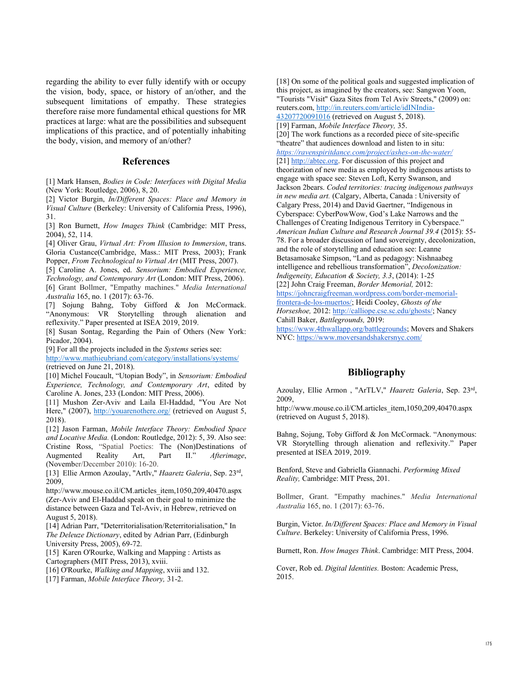regarding the ability to ever fully identify with or occupy the vision, body, space, or history of an/other, and the subsequent limitations of empathy. These strategies therefore raise more fundamental ethical questions for MR practices at large: what are the possibilities and subsequent implications of this practice, and of potentially inhabiting the body, vision, and memory of an/other?

## **References**

[1] Mark Hansen, *Bodies in Code: Interfaces with Digital Media*  (New York: Routledge, 2006), 8, 20.

[2] Victor Burgin, *In/Different Spaces: Place and Memory in Visual Culture* (Berkeley: University of California Press, 1996), 31.

[3] Ron Burnett, *How Images Think* (Cambridge: MIT Press, 2004), 52, 114.

[4] Oliver Grau, *Virtual Art: From Illusion to Immersion*, trans. Gloria Custance(Cambridge, Mass.: MIT Press, 2003); Frank Popper, *From Technological to Virtual Art* (MIT Press, 2007).

[5] Caroline A. Jones, ed. *Sensorium: Embodied Experience, Technology, and Contemporary Art* (London: MIT Press, 2006). [6] Grant Bollmer, "Empathy machines." *Media International Australia* 165, no. 1 (2017): 63-76.

[7] Sojung Bahng, Toby Gifford & Jon McCormack. "Anonymous: VR Storytelling through alienation and reflexivity." Paper presented at ISEA 2019, 2019.

[8] Susan Sontag, Regarding the Pain of Others (New York: Picador, 2004).

[9] For all the projects included in the *Systems* series see:

http://www.mathieubriand.com/category/installations/systems/ (retrieved on June 21, 2018).

[10] Michel Foucault, "Utopian Body", in *Sensorium: Embodied Experience, Technology, and Contemporary Art*, edited by Caroline A. Jones, 233 (London: MIT Press, 2006).

[11] Mushon Zer-Aviv and Laila El-Haddad, "You Are Not Here," (2007), http://youarenothere.org/ (retrieved on August 5, 2018).

[12] Jason Farman, *Mobile Interface Theory: Embodied Space and Locative Media.* (London: Routledge, 2012): 5, 39. Also see: Cristine Ross, "Spatial Poetics: The (Non)Destinations of Augmented Reality Art, Part II." Afterimage, Art, Part II." *Afterimage*, (November/December 2010): 16-20.

[13] Ellie Armon Azoulay, "Artlv," *Haaretz Galeria*, Sep. 23rd, 2009,

http://www.mouse.co.il/CM.articles\_item,1050,209,40470.aspx (Zer-Aviv and El-Haddad speak on their goal to minimize the distance between Gaza and Tel-Aviv, in Hebrew, retrieved on August 5, 2018).

[14] Adrian Parr, "Deterritorialisation/Reterritorialisation," In *The Deleuze Dictionary*, edited by Adrian Parr, (Edinburgh University Press, 2005), 69-72.

[15] Karen O'Rourke, Walking and Mapping : Artists as Cartographers (MIT Press, 2013), xviii.

- [16] O'Rourke, *Walking and Mapping*, xviii and 132.
- [17] Farman, *Mobile Interface Theory,* 31-2.

[18] On some of the political goals and suggested implication of this project, as imagined by the creators, see: Sangwon Yoon, "Tourists "Visit" Gaza Sites from Tel Aviv Streets," (2009) on: reuters.com, http://in.reuters.com/article/idINIndia-43207720091016 (retrieved on August 5, 2018). [19] Farman, *Mobile Interface Theory,* 35. [20] The work functions as a recorded piece of site-specific "theatre" that audiences download and listen to in situ: *https://ravenspiritdance.com/project/ashes-on-the-water/*  [21] http://abtec.org. For discussion of this project and theorization of new media as employed by indigenous artists to engage with space see: Steven Loft, Kerry Swanson, and Jackson 2bears. *Coded territories: tracing indigenous pathways in new media art.* (Calgary, Alberta, Canada : University of Calgary Press, 2014) and David Gaertner, "Indigenous in Cyberspace: CyberPowWow, God's Lake Narrows and the Challenges of Creating Indigenous Territory in Cyberspace." *American Indian Culture and Research Journal 39.4* (2015): 55- 78. For a broader discussion of land sovereignty, decolonization, and the role of storytelling and education see: Leanne Betasamosake Simpson, "Land as pedagogy: Nishnaabeg intelligence and rebellious transformation", *Decolonization: Indigeneity, Education & Society, 3.3*, (2014): 1-25 [22] John Craig Freeman, *Border Memorial,* 2012: https://johncraigfreeman.wordpress.com/border-memorialfrontera-de-los-muertos/; Heidi Cooley, *Ghosts of the Horseshoe,* 2012: http://calliope.cse.sc.edu/ghosts/; Nancy Cahill Baker, *Battlegrounds,* 2019: https://www.4thwallapp.org/battlegrounds; Movers and Shakers NYC: https://www.moversandshakersnyc.com/

## **Bibliography**

Azoulay, Ellie Armon , "ArTLV," *Haaretz Galeria*, Sep. 23rd, 2009,

http://www.mouse.co.il/CM.articles\_item,1050,209,40470.aspx (retrieved on August 5, 2018).

Bahng, Sojung, Toby Gifford & Jon McCormack. "Anonymous: VR Storytelling through alienation and reflexivity." Paper presented at ISEA 2019, 2019.

Benford, Steve and Gabriella Giannachi. *Performing Mixed Reality,* Cambridge: MIT Press, 201.

Bollmer, Grant. "Empathy machines." *Media International Australia* 165, no. 1 (2017): 63-76.

Burgin, Victor. *In/Different Spaces: Place and Memory in Visual Culture*. Berkeley: University of California Press, 1996.

Burnett, Ron. *How Images Think*. Cambridge: MIT Press, 2004.

Cover, Rob ed. *Digital Identities.* Boston: Academic Press, 2015.